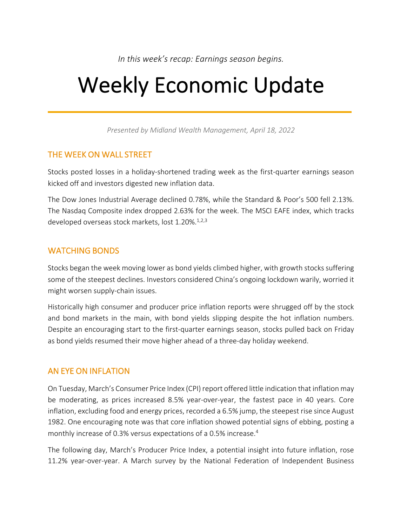*In this week's recap: Earnings season begins.*

# Weekly Economic Update

*Presented by Midland Wealth Management, April 18, 2022*

## THE WEEK ON WALL STREET

Stocks posted losses in a holiday-shortened trading week as the first-quarter earnings season kicked off and investors digested new inflation data.

The Dow Jones Industrial Average declined 0.78%, while the Standard & Poor's 500 fell 2.13%. The Nasdaq Composite index dropped 2.63% for the week. The MSCI EAFE index, which tracks developed overseas stock markets, lost 1.20%.<sup>1,2,3</sup>

# WATCHING BONDS

Stocks began the week moving lower as bond yields climbed higher, with growth stocks suffering some of the steepest declines. Investors considered China's ongoing lockdown warily, worried it might worsen supply-chain issues.

Historically high consumer and producer price inflation reports were shrugged off by the stock and bond markets in the main, with bond yields slipping despite the hot inflation numbers. Despite an encouraging start to the first-quarter earnings season, stocks pulled back on Friday as bond yields resumed their move higher ahead of a three-day holiday weekend.

# AN EYE ON INFLATION

On Tuesday, March's Consumer Price Index (CPI) report offered little indication that inflation may be moderating, as prices increased 8.5% year-over-year, the fastest pace in 40 years. Core inflation, excluding food and energy prices, recorded a 6.5% jump, the steepest rise since August 1982. One encouraging note was that core inflation showed potential signs of ebbing, posting a monthly increase of 0.3% versus expectations of a 0.5% increase.4

The following day, March's Producer Price Index, a potential insight into future inflation, rose 11.2% year-over-year. A March survey by the National Federation of Independent Business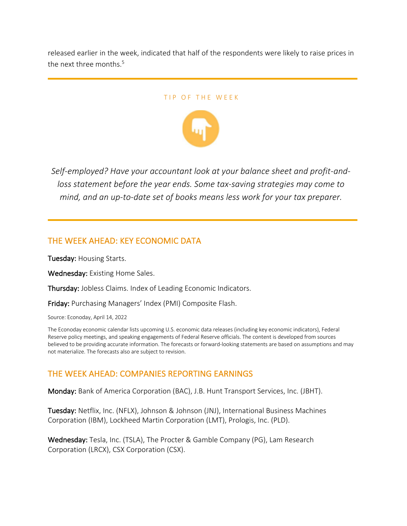released earlier in the week, indicated that half of the respondents were likely to raise prices in the next three months. 5

#### TIP OF THE WEEK



*Self-employed? Have your accountant look at your balance sheet and profit-andloss statement before the year ends. Some tax-saving strategies may come to mind, and an up-to-date set of books means less work for your tax preparer.*

## THE WEEK AHEAD: KEY ECONOMIC DATA

Tuesday: Housing Starts.

Wednesday: Existing Home Sales.

Thursday: Jobless Claims. Index of Leading Economic Indicators.

Friday: Purchasing Managers' Index (PMI) Composite Flash.

Source: Econoday, April 14, 2022

The Econoday economic calendar lists upcoming U.S. economic data releases (including key economic indicators), Federal Reserve policy meetings, and speaking engagements of Federal Reserve officials. The content is developed from sources believed to be providing accurate information. The forecasts or forward-looking statements are based on assumptions and may not materialize. The forecasts also are subject to revision.

## THE WEEK AHEAD: COMPANIES REPORTING EARNINGS

Monday: Bank of America Corporation (BAC), J.B. Hunt Transport Services, Inc. (JBHT).

Tuesday: Netflix, Inc. (NFLX), Johnson & Johnson (JNJ), International Business Machines Corporation (IBM), Lockheed Martin Corporation (LMT), Prologis, Inc. (PLD).

Wednesday: Tesla, Inc. (TSLA), The Procter & Gamble Company (PG), Lam Research Corporation (LRCX), CSX Corporation (CSX).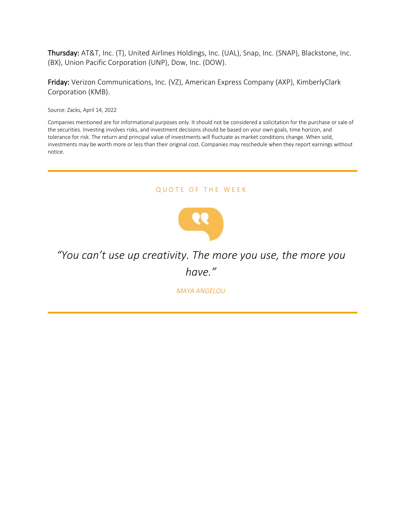Thursday: AT&T, Inc. (T), United Airlines Holdings, Inc. (UAL), Snap, Inc. (SNAP), Blackstone, Inc. (BX), Union Pacific Corporation (UNP), Dow, Inc. (DOW).

Friday: Verizon Communications, Inc. (VZ), American Express Company (AXP), KimberlyClark Corporation (KMB).

Source: Zacks, April 14, 2022

Companies mentioned are for informational purposes only. It should not be considered a solicitation for the purchase or sale of the securities. Investing involves risks, and investment decisions should be based on your own goals, time horizon, and tolerance for risk. The return and principal value of investments will fluctuate as market conditions change. When sold, investments may be worth more or less than their original cost. Companies may reschedule when they report earnings without notice.

#### QUOTE OF THE WEEK



# *"You can't use up creativity. The more you use, the more you have."*

*MAYA ANGELOU*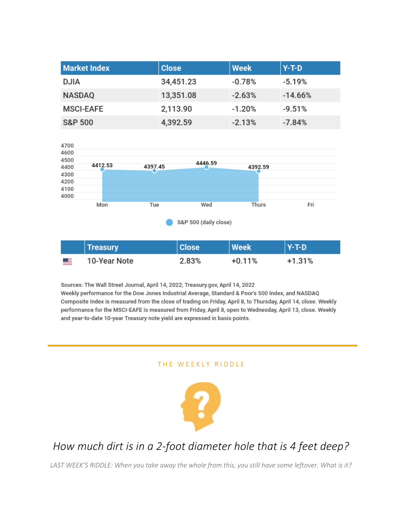| <b>Market Index</b> | <b>Close</b> | <b>Week</b> | $Y-T-D$   |
|---------------------|--------------|-------------|-----------|
| <b>DJIA</b>         | 34,451.23    | $-0.78%$    | $-5.19%$  |
| <b>NASDAQ</b>       | 13,351.08    | $-2.63%$    | $-14.66%$ |
| <b>MSCI-EAFE</b>    | 2,113.90     | $-1.20%$    | $-9.51%$  |
| <b>S&amp;P 500</b>  | 4,392.59     | $-2.13%$    | $-7.84%$  |



|            | <b>Treasury</b> | <b>Close</b> | <b>Week</b> | l Y-T-D  |
|------------|-----------------|--------------|-------------|----------|
| <u>en </u> | 10-Year Note    | 2.83%        | $+0.11%$    | $+1.31%$ |

Sources: The Wall Street Journal, April 14, 2022; Treasury.gov, April 14, 2022 Weekly performance for the Dow Jones Industrial Average, Standard & Poor's 500 Index, and NASDAQ Composite Index is measured from the close of trading on Friday, April 8, to Thursday, April 14, close. Weekly performance for the MSCI-EAFE is measured from Friday, April 8, open to Wednesday, April 13, close. Weekly and year-to-date 10-year Treasury note yield are expressed in basis points.

#### THE WEEKLY RIDDLE



# *How much dirt is in a 2-foot diameter hole that is 4 feet deep?*

*LAST WEEK'S RIDDLE: When you take away the whole from this, you still have some leftover. What is it?*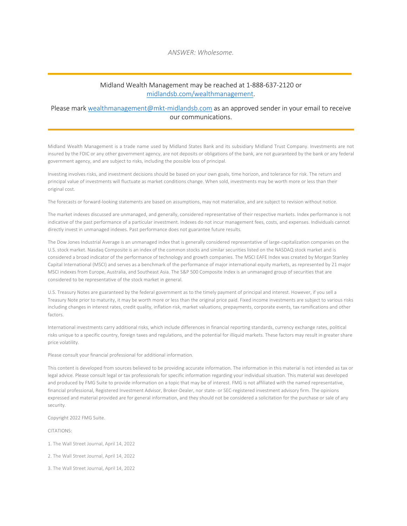#### Midland Wealth Management may be reached at 1-888-637-2120 or midlandsb.com/wealthmanagement.

#### Please mark wealthmanagement@mkt-midlandsb.com as an approved sender in your email to receive our communications.

Midland Wealth Management is a trade name used by Midland States Bank and its subsidiary Midland Trust Company. Investments are not insured by the FDIC or any other government agency, are not deposits or obligations of the bank, are not guaranteed by the bank or any federal government agency, and are subject to risks, including the possible loss of principal.

Investing involves risks, and investment decisions should be based on your own goals, time horizon, and tolerance for risk. The return and principal value of investments will fluctuate as market conditions change. When sold, investments may be worth more or less than their original cost.

The forecasts or forward-looking statements are based on assumptions, may not materialize, and are subject to revision without notice.

The market indexes discussed are unmanaged, and generally, considered representative of their respective markets. Index performance is not indicative of the past performance of a particular investment. Indexes do not incur management fees, costs, and expenses. Individuals cannot directly invest in unmanaged indexes. Past performance does not guarantee future results.

The Dow Jones Industrial Average is an unmanaged index that is generally considered representative of large-capitalization companies on the U.S. stock market. Nasdaq Composite is an index of the common stocks and similar securities listed on the NASDAQ stock market and is considered a broad indicator of the performance of technology and growth companies. The MSCI EAFE Index was created by Morgan Stanley Capital International (MSCI) and serves as a benchmark of the performance of major international equity markets, as represented by 21 major MSCI indexes from Europe, Australia, and Southeast Asia. The S&P 500 Composite Index is an unmanaged group of securities that are considered to be representative of the stock market in general.

U.S. Treasury Notes are guaranteed by the federal government as to the timely payment of principal and interest. However, if you sell a Treasury Note prior to maturity, it may be worth more or less than the original price paid. Fixed income investments are subject to various risks including changes in interest rates, credit quality, inflation risk, market valuations, prepayments, corporate events, tax ramifications and other factors.

International investments carry additional risks, which include differences in financial reporting standards, currency exchange rates, political risks unique to a specific country, foreign taxes and regulations, and the potential for illiquid markets. These factors may result in greater share price volatility.

Please consult your financial professional for additional information.

This content is developed from sources believed to be providing accurate information. The information in this material is not intended as tax or legal advice. Please consult legal or tax professionals for specific information regarding your individual situation. This material was developed and produced by FMG Suite to provide information on a topic that may be of interest. FMG is not affiliated with the named representative, financial professional, Registered Investment Advisor, Broker-Dealer, nor state- or SEC-registered investment advisory firm. The opinions expressed and material provided are for general information, and they should not be considered a solicitation for the purchase or sale of any security.

Copyright 2022 FMG Suite.

CITATIONS:

1. The Wall Street Journal, April 14, 2022

2. The Wall Street Journal, April 14, 2022

3. The Wall Street Journal, April 14, 2022